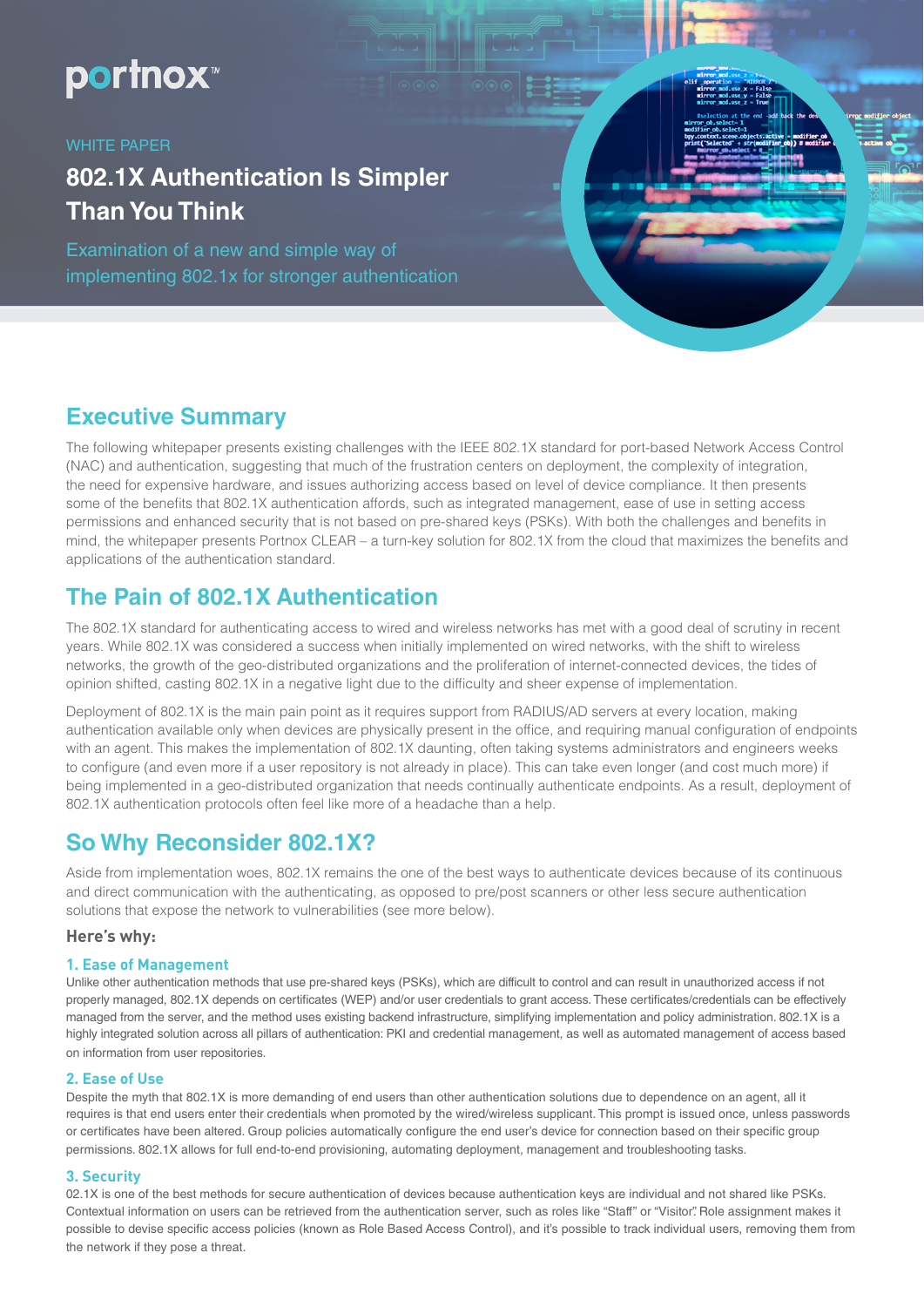# portnox<sup>\*</sup>

#### WHITE PAPER

# **802.1X Authentication Is Simpler Than You Think**

Examination of a new and simple way of implementing 802.1x for stronger authentication

## **Executive Summary**

The following whitepaper presents existing challenges with the IEEE 802.1X standard for port-based Network Access Control (NAC) and authentication, suggesting that much of the frustration centers on deployment, the complexity of integration, the need for expensive hardware, and issues authorizing access based on level of device compliance. It then presents some of the benefits that 802.1X authentication affords, such as integrated management, ease of use in setting access permissions and enhanced security that is not based on pre-shared keys (PSKs). With both the challenges and benefits in mind, the whitepaper presents Portnox CLEAR – a turn-key solution for 802.1X from the cloud that maximizes the benefits and applications of the authentication standard.

# **The Pain of 802.1X Authentication**

The 802.1X standard for authenticating access to wired and wireless networks has met with a good deal of scrutiny in recent years. While 802.1X was considered a success when initially implemented on wired networks, with the shift to wireless networks, the growth of the geo-distributed organizations and the proliferation of internet-connected devices, the tides of opinion shifted, casting 802.1X in a negative light due to the difficulty and sheer expense of implementation.

Deployment of 802.1X is the main pain point as it requires support from RADIUS/AD servers at every location, making authentication available only when devices are physically present in the office, and requiring manual configuration of endpoints with an agent. This makes the implementation of 802.1X daunting, often taking systems administrators and engineers weeks to configure (and even more if a user repository is not already in place). This can take even longer (and cost much more) if being implemented in a geo-distributed organization that needs continually authenticate endpoints. As a result, deployment of 802.1X authentication protocols often feel like more of a headache than a help.

# **So Why Reconsider 802.1X?**

Aside from implementation woes, 802.1X remains the one of the best ways to authenticate devices because of its continuous and direct communication with the authenticating, as opposed to pre/post scanners or other less secure authentication solutions that expose the network to vulnerabilities (see more below).

#### **Here's why:**

#### **1. Ease of Management**

Unlike other authentication methods that use pre-shared keys (PSKs), which are difficult to control and can result in unauthorized access if not properly managed, 802.1X depends on certificates (WEP) and/or user credentials to grant access. These certificates/credentials can be effectively managed from the server, and the method uses existing backend infrastructure, simplifying implementation and policy administration. 802.1X is a highly integrated solution across all pillars of authentication: PKI and credential management, as well as automated management of access based on information from user repositories.

#### **2. Ease of Use**

Despite the myth that 802.1X is more demanding of end users than other authentication solutions due to dependence on an agent, all it requires is that end users enter their credentials when promoted by the wired/wireless supplicant. This prompt is issued once, unless passwords or certificates have been altered. Group policies automatically configure the end user's device for connection based on their specific group permissions. 802.1X allows for full end-to-end provisioning, automating deployment, management and troubleshooting tasks.

#### **3. Security**

02.1X is one of the best methods for secure authentication of devices because authentication keys are individual and not shared like PSKs. Contextual information on users can be retrieved from the authentication server, such as roles like "Staff" or "Visitor". Role assignment makes it possible to devise specific access policies (known as Role Based Access Control), and it's possible to track individual users, removing them from the network if they pose a threat.